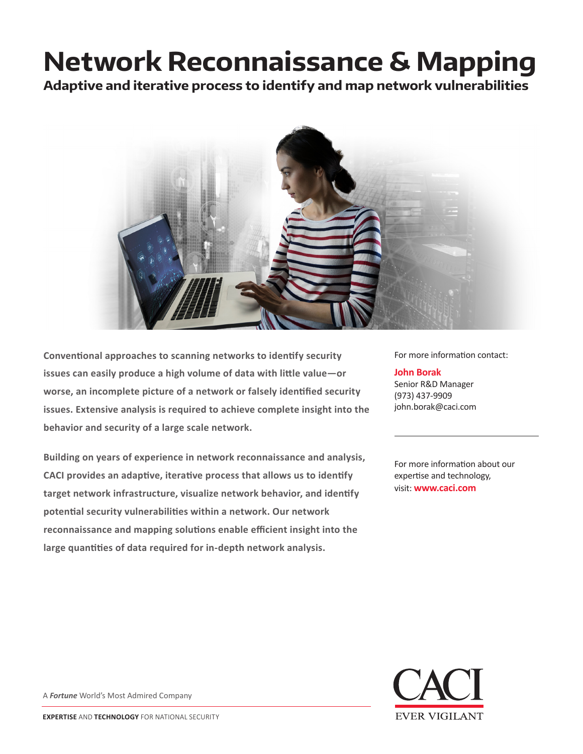## **Network Reconnaissance & Mapping**

**Adaptive and iterative process to identify and map network vulnerabilities**



**Conventional approaches to scanning networks to identify security issues can easily produce a high volume of data with little value—or worse, an incomplete picture of a network or falsely identified security issues. Extensive analysis is required to achieve complete insight into the behavior and security of a large scale network.**

**Building on years of experience in network reconnaissance and analysis, CACI provides an adaptive, iterative process that allows us to identify target network infrastructure, visualize network behavior, and identify potential security vulnerabilities within a network. Our network reconnaissance and mapping solutions enable efficient insight into the large quantities of data required for in-depth network analysis.**

For more information contact:

**John Borak** Senior R&D Manager (973) 437-9909 john.borak@caci.com

For more information about our expertise and technology, visit: **www.caci.com**



A *Fortune* World's Most Admired Company